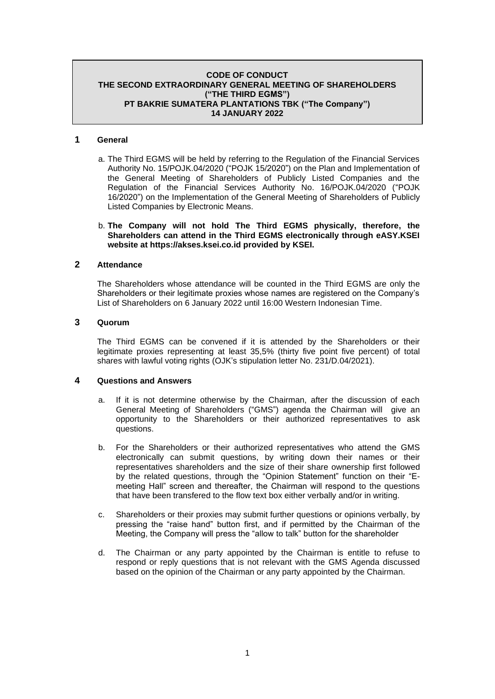# **CODE OF CONDUCT THE SECOND EXTRAORDINARY GENERAL MEETING OF SHAREHOLDERS ("THE THIRD EGMS") PT BAKRIE SUMATERA PLANTATIONS TBK ("The Company") 14 JANUARY 2022**

# **1 General**

a. The Third EGMS will be held by referring to the Regulation of the Financial Services Authority No. 15/POJK.04/2020 ("POJK 15/2020") on the Plan and Implementation of the General Meeting of Shareholders of Publicly Listed Companies and the Regulation of the Financial Services Authority No. 16/POJK.04/2020 ("POJK 16/2020") on the Implementation of the General Meeting of Shareholders of Publicly Listed Companies by Electronic Means.

#### b. **The Company will not hold The Third EGMS physically, therefore, the Shareholders can attend in the Third EGMS electronically through eASY.KSEI website at https://akses.ksei.co.id provided by KSEI.**

# **2 Attendance**

The Shareholders whose attendance will be counted in the Third EGMS are only the Shareholders or their legitimate proxies whose names are registered on the Company's List of Shareholders on 6 January 2022 until 16:00 Western Indonesian Time.

# **3 Quorum**

The Third EGMS can be convened if it is attended by the Shareholders or their legitimate proxies representing at least 35,5% (thirty five point five percent) of total shares with lawful voting rights (OJK's stipulation letter No. 231/D.04/2021).

# **4 Questions and Answers**

- a. If it is not determine otherwise by the Chairman, after the discussion of each General Meeting of Shareholders ("GMS") agenda the Chairman will give an opportunity to the Shareholders or their authorized representatives to ask questions.
- b. For the Shareholders or their authorized representatives who attend the GMS electronically can submit questions, by writing down their names or their representatives shareholders and the size of their share ownership first followed by the related questions, through the "Opinion Statement" function on their "Emeeting Hall" screen and thereafter, the Chairman will respond to the questions that have been transfered to the flow text box either verbally and/or in writing.
- c. Shareholders or their proxies may submit further questions or opinions verbally, by pressing the "raise hand" button first, and if permitted by the Chairman of the Meeting, the Company will press the "allow to talk" button for the shareholder
- d. The Chairman or any party appointed by the Chairman is entitle to refuse to respond or reply questions that is not relevant with the GMS Agenda discussed based on the opinion of the Chairman or any party appointed by the Chairman.